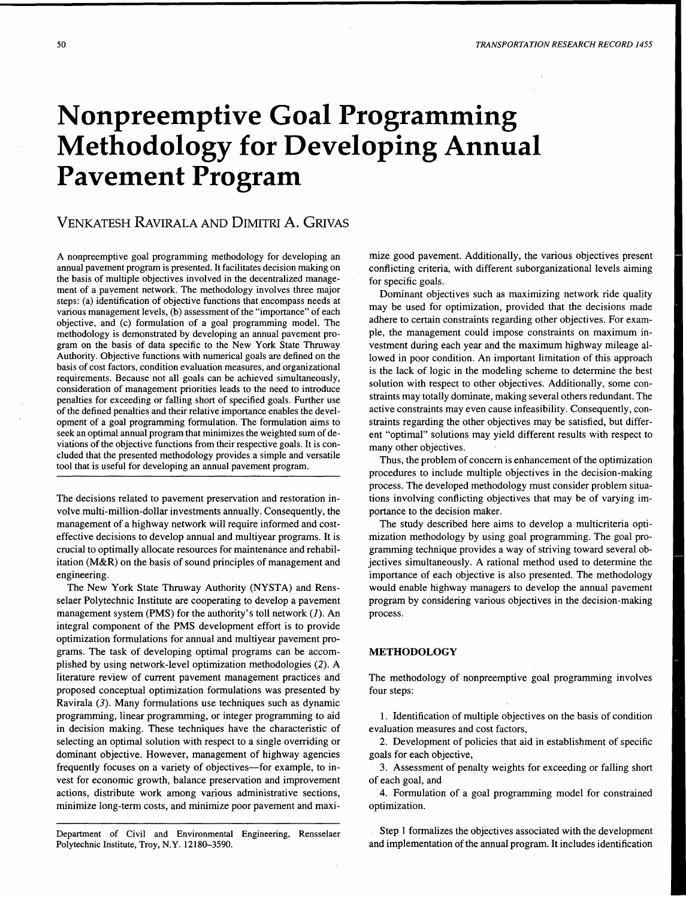# **Nonpreemptive Goal Programming Methodology for Developing Annual Pavement Program**

# VENKATESH RAVIRALA AND DIMITRI A. GRIVAS

A nonpreemptive goal programming methodology for developing an annual pavement program is presented. It facilitates decision making on the basis of multipie objectives involved in the decentralized management of a payement network. The methodology involves three major steps: (a) identification of objective functions that encompass needs at various management levels, (b) assessment of the "importance" of each objective, and (c) formulation of a goal programming model. The methodology is demonstrated by developing an annual pavement program on the basis of data specific to the New York State Thruway Authority. Objective functions with numerical goals are defined on the basis of cost factors, condition evaluation measures, and organizational requirements. Because not all goals can be achieved simultaneously, consideration of management priorities leads to the need to introduce penalties for exceeding or falling short of specified goals. Further use of the defined penalties and their relative importance enables the development of a goal programming formulation. The formulation aims to seek an optimal annual program that minimizes the weighted sum of deviations of the objective functions from their respective goals. It is concluded that the presented methodology provides a simple and versatile tool that is useful for developing an annual pavement program.

The decisions related to pavement preservation and restoration involve multi-million-dollar investments annually. Consequently, the management of a highway network will require informed and costeffective decisions to develop annual and multiyear programs. It is crucial to optimally allocate resources for maintenance and rehabilitation (M&R) on the basis of sound principles of management and engineering.

The New York State Thruway Authority (NYSTA) and Rensselaer Polytechnic Institute are cooperating to develop a pavement management system (PMS) for the authority's toll network  $(I)$ . An integral component of the PMS development effort is to provide optimization formulations for annual and multiyear pavement programs. The task of developing optimal programs can be accomplished by using network-level optimization methodologies (2). A literature review of current pavement management practices and proposed conceptual optimization formulations was presented by Ravirala (3). Many formulations use techniques such as dynamic programming, linear programming, or integer programming to aid in decision making. These techniques have the characteristic of selecting an optimal solution with respect to a single overriding or dominant objective. However, management of highway agencies frequently focuses on a variety of objectives—for example, to invest for economic growth, balance preservation and improvement actions, distribute work among various administrative sections, minimize long-term costs, and minimize poor pavement and maxi-

Department of Civil and Environmental Engineering, Rensselaer Polytechnic Institute, Troy, N.Y. 12180-3590.

mize good pavement. Additionally, the various objectives present conflicting criteria, with different suborganizational levels aiming for specific goals.

Dominant objectives such as maximizing network ride quality may be used for optimization, provided that the decisions made adhere to certain constraints regarding other objectives. For example, the management could impose constraints on maximum investment during each year and the maximum highway mileage allowed in poor condition. An important limitation of this approach is the lack of logic in the modeling scheme to determine the best solution with respect to other objectives. Additionally, some constraints may totally dominate, making several others redundant. The active constraints may even cause infeasibility. Consequently, constraints regarding the other objectives may be satisfied, but different "optimal" solutions may yield different results with respect to many other objectives.

Thus, the problem of concern is enhancement of the optimization procedures to include multiple objectives in the decision-making process. The developed methodology must consider problem situations involving conflicting objectives that may be of varying importance to the decision maker.

The study described here aims to develop a multicriteria optimization methodology by using goal programming. The goal programming technique provides a way of striving toward several objectives simultaneously. A rational method used to determine the importance of each objective is also presented. The methodology would enable highway managers to develop the annual pavement program by considering various objectives in the decision-making process.

#### **METHODOLOGY**

The methodology of nonpreemptive goal programming involves four steps:

1. Identification of multiple objectives on the basis of condition evaluation measures and cost factors,

2. Development of policies that aid in establishment of specific goals for each objective,

3. Assessment of penalty weights for exceeding or falling short of each goal, and

4. Formulation of a goal programming model for constrained optimization.

Step 1 formalizes the objectives associated with the development and implementation of the annual program. It includes identification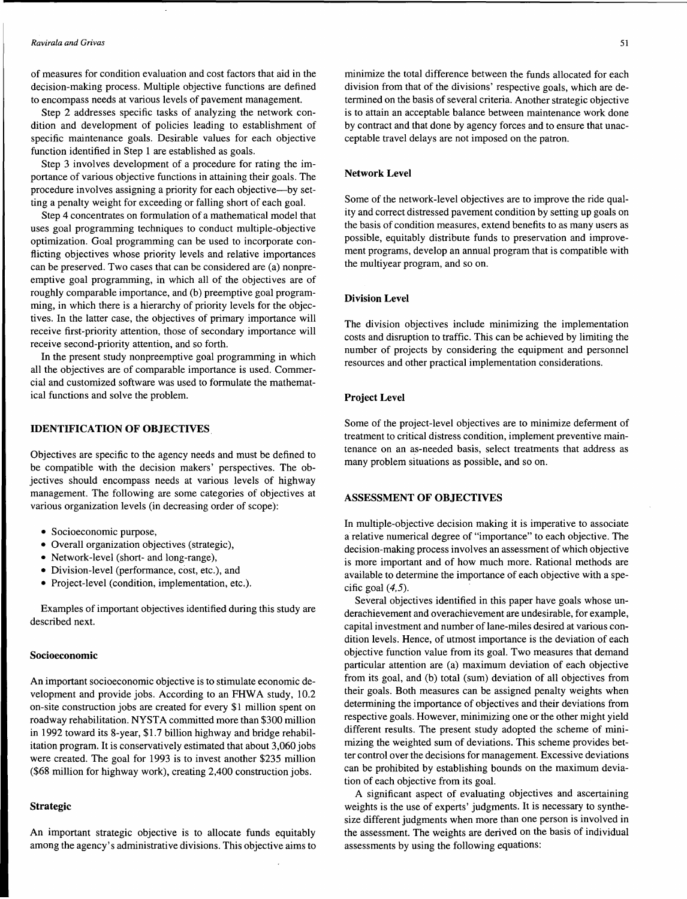#### *Ravirala and Grivas*

of measures for condition evaluation and cost factors that aid in the decision-making process. Multiple objective functions are defined to encompass needs at various levels of pavement management.

Step 2 addresses specific tasks of analyzing the network condition and development of policies leading to establishment of specific maintenance goals. Desirable values for each objective function identified in Step 1 are established as goals.

Step 3 involves development of a procedure for rating the importance of various objective functions in attaining their goals. The procedure involves assigning a priority for each objective-by setting a penalty weight for exceeding or falling short of each goal.

Step 4 concentrates on formulation of a mathematical model that uses goal programming techniques to conduct multiple-objective optimization. Goal programming can be used to incorporate conflicting objectives whose priority levels and relative importances can be preserved. Two cases that can be considered are (a) nonpreemptive goal programming, in which all of the objectives are of roughly comparable importance, and (b) preemptive goal programming, in which there is a hierarchy of priority levels for the objectives. In the latter case, the objectives of primary importance will receive first-priority attention, those of secondary importance will receive second-priority attention, and so forth.

In the present study nonpreemptive goal programming in which all the objectives are of comparable importance is used. Commercial and customized software was used to formulate the mathematical functions and solve the problem.

#### **IDENTIFICATION OF OBJECTIVES.**

Objectives are specific to the agency needs and must be defined to be compatible with the decision makers' perspectives. The objectives should encompass needs at various levels of highway management. The following are some categories of objectives at various organization levels (in decreasing order of scope):

- Socioeconomic purpose,
- Overall organization objectives (strategic),
- Network-level (short- and long-range),
- Division-level (performance, cost, etc.), and
- Project-level (condition, implementation, etc.).

Examples of important objectives identified during this study are described next.

#### **Socioeconomic**

An important socioeconomic objective is to stimulate economic development and provide jobs. According to an FHWA study, 10.2 on-site construction jobs are created for every \$1 million spent on roadway rehabilitation. NYST A committed more than \$300 million in 1992 toward its 8-year, \$1.7 billion highway and bridge rehabilitation program. It is conservatively estimated that about 3,060 jobs were created. The goal for 1993 is to invest another \$235 million (\$68 million for highway work), creating 2,400 construction jobs.

# **Strategic**

An important strategic objective is to allocate funds equitably among the agency's administrative divisions. This objective aims to minimize the total difference between the funds allocated for each division from that of the divisions' respective goals, which are determined on the basis of several criteria. Another strategic objective is to attain an acceptable balance between maintenance work done by contract and that done by agency forces and to ensure that unacceptable travel delays are not imposed on the patron.

# **Network Level**

Some of the network-level objectives are to improve the ride quality and correct distressed pavement condition by setting up goals on the basis of condition measures, extend benefits to as many users as possible, equitably distribute funds to preservation and improvement programs, develop an annual program that is compatible with the multiyear program, and so on.

# **Division Level**

The division objectives include minimizing the implementation costs and disruption to traffic. This can be achieved by limiting the number of projects by considering the equipment and personnel resources and other practical implementation considerations.

# **Project Level**

Some of the project-level objectives are to minimize deferment of treatment to critical distress condition, implement preventive maintenance on an as-needed basis, select treatments that address as many problem situations as possible, and so on.

# **ASSESSMENT OF OBJECTIVES**

In multiple-objective decision making it is imperative to associate a relative numerical degree of "importance" to each objective. The decision-making process involves an assessment of which objective is more important and of how much more. Rational methods are available to determine the importance of each objective with a specific goal  $(4,5)$ .

Several objectives identified in this paper have goals whose underachievement and overachievement are undesirable, for example, capital investment and number of lane-miles desired at various condition levels. Hence, of utmost importance is the deviation of each objective function value from its goal. Two measures that demand particular attention are (a) maximum deviation of each objective from its goal, and (b) total (sum) deviation of all objectives from their goals. Both measures can be assigned penalty weights when determining the importance of objectives and their deviations from respective goals. However, minimizing one or the other might yield different results. The present study adopted the scheme of minimizing the weighted sum of deviations. This scheme provides better control over the decisions for management. Excessive deviations can be prohibited by establishing bounds on the maximum deviation of each objective from its goal.

A significant aspect of evaluating objectives and ascertaining weights is the use of experts' judgments. It is necessary to synthesize different judgments when more than one person is involved in the assessment. The weights are derived on the basis of individual assessments by using the following equations: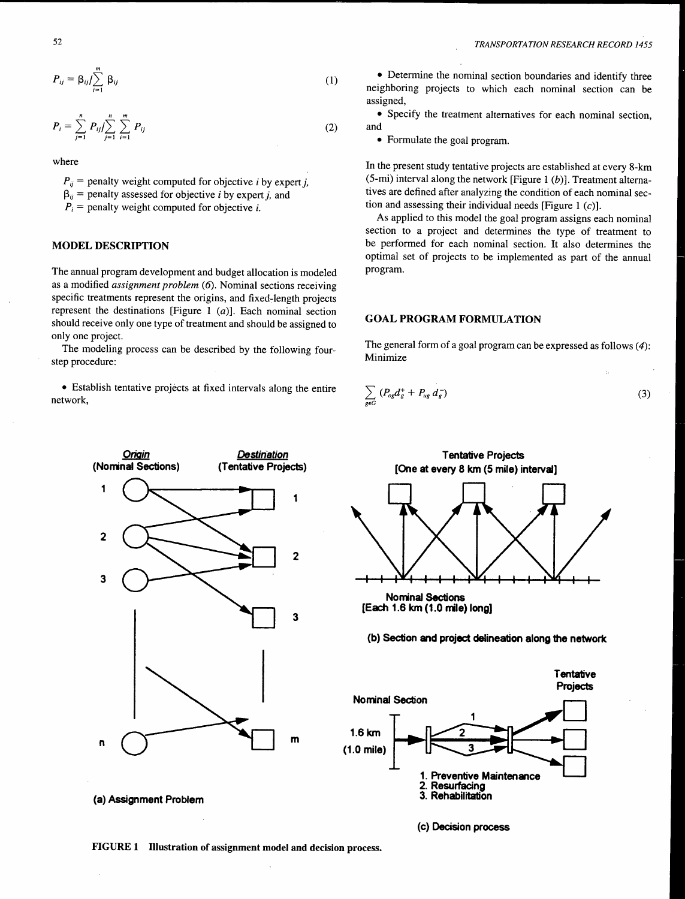$$
P_{ij} = \beta_{ij} / \sum_{i=1}^{m} \beta_{ij}
$$
 (1)

$$
P_i = \sum_{j=1}^n P_{ij} / \sum_{j=1}^n \sum_{i=1}^m P_{ij}
$$
 (2)

where

 $P_{ii}$  = penalty weight computed for objective *i* by expert *j*,

 $\beta_{ii}$  = penalty assessed for objective *i* by expert *j*, and

 $P_i$  = penalty weight computed for objective *i*.

# MODEL DESCRIPTION

The annual program development and budget allocation is modeled as a modified *assignment problem* (6). Nominal sections receiving specific treatments represent the origins, and fixed-length projects represent the destinations [Figure 1  $(a)$ ]. Each nominal section should receive only one type of treatment and should be assigned to only one project.

The modeling process can be described by the following fourstep procedure:

• Establish tentative projects at fixed intervals along the entire network,

• Determine the nominal section boundaries and identify three neighboring projects to which each nominal section can be assigned,

• Specify the treatment alternatives for each nominal section, and

• Formulate the goal program.

In the present study tentative projects are established at every 8-km (5-mi) interval along the network [Figure 1  $(b)$ ]. Treatment alternatives are defined after analyzing the condition of each nominal section and assessing their individual needs [Figure 1  $(c)$ ].

As applied to this model the goal program assigns each nominal section to a project and determines the type of treatment to be performed for each nominal section. It also determines the optimal set of projects to be implemented as part of the annual program.

# GOAL PROGRAM FORMULATION

The general form of a goal program can be expressed as follows  $(4)$ : Minimize

(3)

$$
\sum_{g\in G} (P_{og}d_g^+ + P_{ug}d_g^-)
$$



Nominal Sections [Each 1.6 km (1.0 mile) long]

(b) Section and project delineation along the network

Tentative Projects [One at every 8 km (5 mile) interval]



(c) Decision process

(a) Assignment Problem

FIGURE 1 Illustration of assignment model and decision process.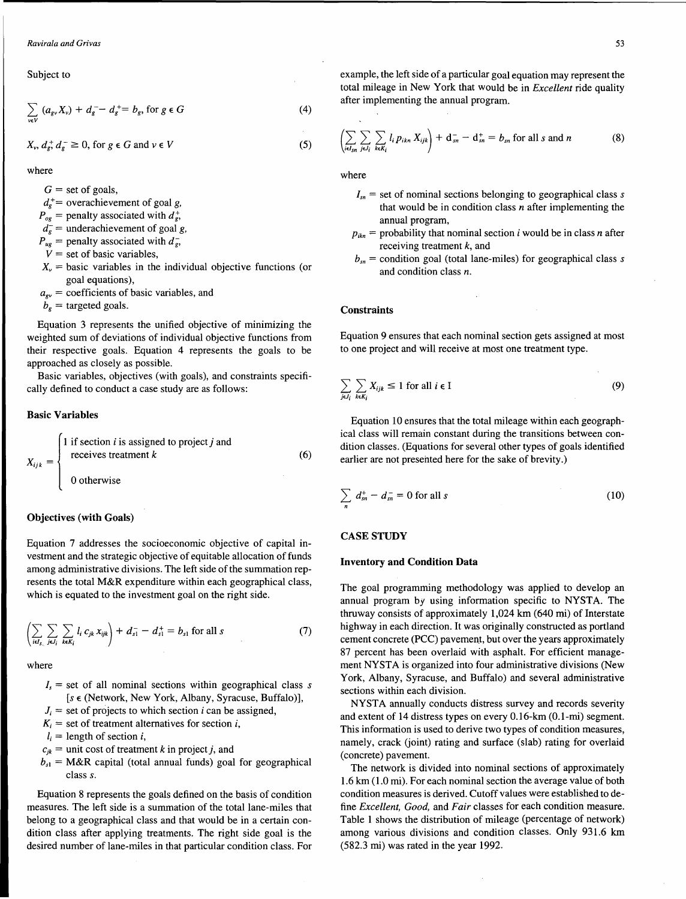Subject to

$$
\sum_{v \in V} (a_{gv} X_v) + d_{g}^{--} - d_{g}^{+} = b_{g}, \text{ for } g \in G
$$
 (4)

$$
X_{\nu}
$$
,  $d_g^+ d_g^- \ge 0$ , for  $g \in G$  and  $\nu \in V$ 

where

 $G =$  set of goals,

- $d_e^+$  = overachievement of goal g,
- $P_{og}$  = penalty associated with  $d_g^*$ ,
- $d_{\theta}^-$  = underachievement of goal g,
- $P_{ug}$  = penalty associated with  $d_{g}$ ,
- $V =$  set of basic variables,
- $X<sub>v</sub>$  = basic variables in the individual objective functions (or goal equations),
- $a_{\rm gv}$  = coefficients of basic variables, and

$$
b_g = \text{targeted goals}.
$$

Equation 3 represents the unified objective of minimizing the weighted sum of deviations of individual objective functions from their respective goals. Equation 4 represents the goals to be approached as closely as possible.

Basic variables, objectives (with goals), and constraints specifically defined to conduct a case study are as follows:

#### Basic Variables

$$
X_{ijk} = \begin{cases} 1 & \text{if section } i \text{ is assigned to project } j \text{ and} \\ \text{ receives treatment } k \\ 0 & \text{otherwise} \end{cases}
$$
 (6)

# Objectives (with Goals)

Equation 7 addresses the socioeconomic objective of capital investment and the strategic objective of equitable allocation of funds among administrative divisions. The left side of the summation represents the total M&R expenditure within each geographical class, which is equated to the investment goal on the right side.

$$
\left(\sum_{i\in I_{s.}}\sum_{j\in I_{i}}\sum_{k\in K_{i}}l_{i}c_{jk}x_{ijk}\right)+d_{s1}^{-}-d_{s1}^{+}=b_{s1} \text{ for all } s \qquad (7)
$$

where

- $I<sub>s</sub>$  = set of all nominal sections within geographical class *s*  $[s \in (Network, New York, Album, Syracuse, Buffalo)],$
- $J_i$  = set of projects to which section *i* can be assigned,
- $K_i$  = set of treatment alternatives for section *i*,

 $l_i$  = length of section i,

- $c_{jk}$  = unit cost of treatment k in project j, and
- $b_{s1}$  = M&R capital (total annual funds) goal for geographical class *s.*

Equation 8 represents the goals defined on the basis of condition measures. The left side is a summation of the total lane-miles that belong to a geographical class and that would be in a certain condition class after applying treatments. The right side goal is the desired number of lane-miles in that particular condition class. For

example, the left side of a particular goal equation may represent the total mileage in New York that would be in *Excellent* ride quality after implementing the annual program.

$$
\left(\sum_{i\in I_{sn}}\sum_{j\in J_i}\sum_{k\in K_i}l_i p_{ikn}X_{ijk}\right)+\mathbf{d}_{sn}^--\mathbf{d}_{sn}^+=b_{sn} \text{ for all } s \text{ and } n \tag{8}
$$

where

(5)

- $I_{sn}$  = set of nominal sections belonging to geographical class *s* that would be in condition class *n* after implementing the annual program,
- $p_{ikn}$  = probability that nominal section *i* would be in class *n* after receiving treatment  $k$ , and
- $b_{\rm cr}$  = condition goal (total lane-miles) for geographical class *s* and condition class *n.*

### **Constraints**

Equation 9 ensures that each nominal section gets assigned at most to one project and will receive at most one treatment type.

$$
\sum_{j\in J_i}\sum_{k\in K_i}X_{ijk}\leq 1\text{ for all }i\in I\tag{9}
$$

Equation 10 ensures that the total mileage within each geographical class will remain constant during the transitions between condition classes. (Equations for several other types of goals identified earlier are not presented here for the sake of brevity.)

$$
\sum_{n} d_{sn}^{+} - d_{sn}^{-} = 0 \text{ for all } s
$$
 (10)

#### CASE STUDY

#### Inventory and Condition Data

The goal programming methodology was applied to develop an annual program by using information specific to NYSTA. The thruway consists of approximately 1,024 km (640 mi) of Interstate highway in each direction. It was originally constructed as portland cement concrete (PCC) pavement, but over the years approximately 87 percent has been overlaid with asphalt. For efficient management NYSTA is organized into four administrative divisions (New York, Albany, Syracuse, and Buffalo) and several administrative sections within each division.

NYSTA annually conducts distress survey and records severity and extent of 14 distress types on every 0.16-km (0.1-mi) segment. This information is used to derive two types of condition measures, namely, crack (joint) rating and surface (slab) rating for overlaid (concrete) pavement.

The network is divided into nominal sections of approximately 1.6 km (1.0 mi). For each nominal section the average value of both condition measures is derived. Cutoff values were established to define *Excellent, Good,* and *Fair* classes for each condition measure. Table 1 shows the distribution of mileage (percentage of network) among various divisions and condition classes. Only 931.6 km (582.3 mi) was rated in the year 1992.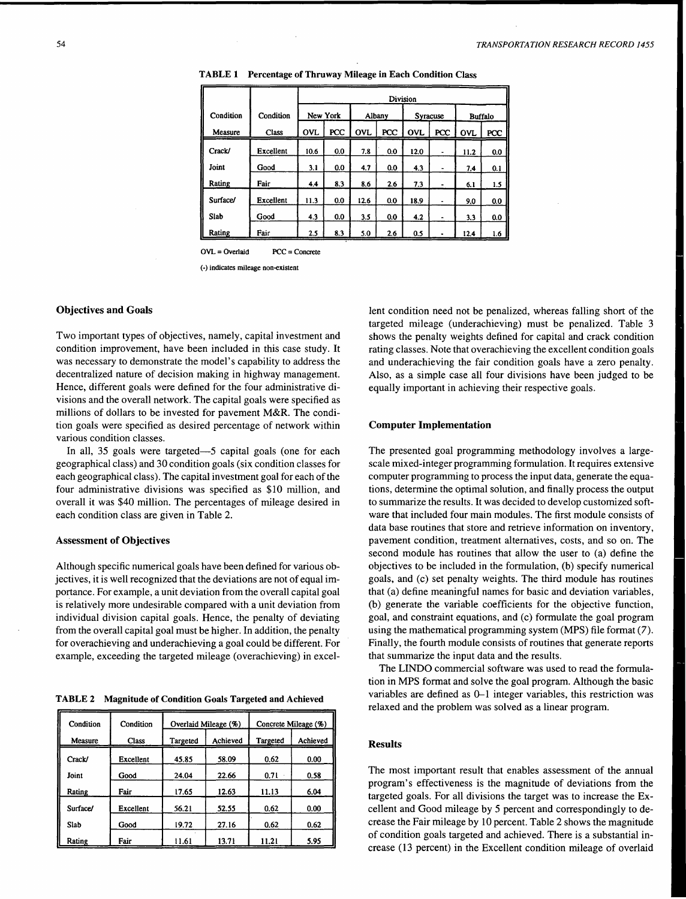|           |           | Division   |     |            |     |                 |                |                |     |
|-----------|-----------|------------|-----|------------|-----|-----------------|----------------|----------------|-----|
| Condition | Condition | New York   |     | Albany     |     | <b>Syracuse</b> |                | <b>Buffalo</b> |     |
| Measure   | Class     | <b>OVL</b> | PCC | <b>OVL</b> | PCC | <b>OVL</b>      | PCC            | <b>OVL</b>     | PCC |
| Crack/    | Excellent | 10.6       | 0.0 | 7.8        | 0.0 | 12.0            | $\blacksquare$ | 11.2           | 0.0 |
| Joint     | Good      | 3.1        | 0.0 | 4.7        | 0.0 | 4.3             | ۰              | 7.4            | 0.1 |
| Rating    | Fair      | 4.4        | 8.3 | 8.6        | 2.6 | 7.3             |                | 6.1            | 1.5 |
| Surface/  | Excellent | 11.3       | 0.0 | 12.6       | 0.0 | 18.9            |                | 9.0            | 0.0 |
| Slab      | Good      | 4.3        | 0.0 | 3.5        | 0.0 | 4.2             | ٠              | 3.3            | 0.0 |
| Rating    | Fair      | 2.5        | 8.3 | 5.0        | 2.6 | 0.5             |                | 12.4           | 1.6 |

TABLE 1 Percentage of Thruway Mileage in Each Condition Class

OVL = Overlaid PCC = Concrete

(-) indicates mileage non-existent

# Objectives and Goals

Two important types of objectives, namely, capital investment and condition improvement, have been included in this case study. It was necessary to demonstrate the model's capability to address the decentralized nature of decision making in highway management. Hence, different goals were defined for the four administrative divisions and the overall network. The capital goals were specified as millions of dollars to be invested for pavement M&R. The condition goals were specified as desired percentage of network within various condition classes.

In all, 35 goals were targeted-5 capital goals (one for each geographical class) and 30 condition goals (six condition classes for each geographical class). The capital investment goal for each of the four administrative divisions was specified as \$10 million, and overall it was \$40 million. The percentages of mileage desired in each condition class are given in Table 2.

# Assessment of Objectives

Although specific numerical goals have been defined for various objectives, it is well recognized that the deviations are not of equal importance. For example, a unit deviation from the overall capital goal is relatively more undesirable compared with a unit deviation from individual division capital goals. Hence, the penalty of deviating from the overall capital goal must be higher. In addition, the penalty for overachieving and underachieving a goal could be different. For example, exceeding the targeted mileage (overachieving) in excel-

TABLE 2 Magnitude of Condition Goals Targeted and Achieved

| Condition | Condition    |          | Overlaid Mileage (%) | Concrete Mileage (%) |          |  |
|-----------|--------------|----------|----------------------|----------------------|----------|--|
| Measure   | <b>Class</b> | Targeted | Achieved             | Targeted             | Achieved |  |
| Crack/    | Excellent    | 45.85    | 58.09                | 0.62                 | 0.00     |  |
| Joint     | Good         | 24.04    | 22.66                | 0.71                 | 0.58     |  |
| Rating    | Fair         | 17.65    | 12.63                | 11.13                | 6.04     |  |
| Surface/  | Excellent    | 56.21    | 52.55                | 0.62                 | 0.00     |  |
| Slab      | Good         | 19.72    | 27.16                | 0.62                 | 0.62     |  |
| Rating    | Fair         | 11.61    | 13.71                | 11.21                | 5.95     |  |

lent condition need not be penalized, whereas falling short of the targeted mileage (underachieving) must be penalized. Table 3 shows the penalty weights defined for capital and crack condition rating classes. Note that overachieving the excellent condition goals and underachieving the fair condition goals have a zero penalty. Also, as a simple case all four divisions have been judged to be equally important in achieving their respective goals.

#### Computer Implementation

The presented goal programming methodology involves a largescale mixed-integer programming formulation. It requires extensive computer programming to process the input data, generate the equations, determine the optimal solution, and finally process the output to summarize the results. It was decided to develop customized software that included four main modules. The first module consists of data base routines that store and retrieve information on inventory, pavement condition, treatment alternatives, costs, and so on. The second module has routines that allow the user to (a) define the objectives to be included in the formulation, (b) specify numerical goals, and (c) set penalty weights. The third module has routines that (a) define meaningful names for basic and deviation variables, (b) generate the variable coefficients for the objective function, goal, and constraint equations, and (c) formulate the goal program using the mathematical programming system (MPS) file format (7). Finally, the fourth module consists of routines that generate reports that summarize the input data and the results.

The LINDO commercial software was used to read the formulation in MPS format and solve the goal program. Although the basic variables are defined as 0-1 integer variables, this restriction was relaxed and the problem was solved as a linear program.

#### Results

The most important result that enables assessment of the annual program's effectiveness is the magnitude of deviations from the targeted goals. For all divisions the target was to increase the Excellent and Good mileage by 5 percent and correspondingly to decrease the Fair mileage by 10 percent. Table 2 shows the magnitude of condition goals targeted and achieved. There is a substantial increase (13 percent) in the Excellent condition mileage of overlaid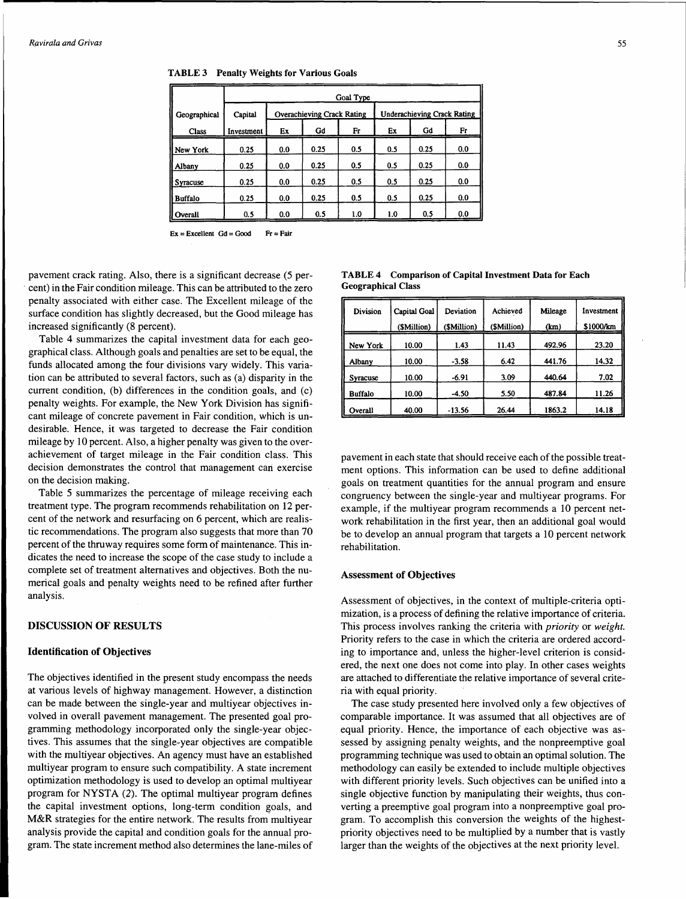|                | Goal Type  |     |                                   |     |     |                                    |     |  |  |
|----------------|------------|-----|-----------------------------------|-----|-----|------------------------------------|-----|--|--|
| Geographical   | Capital    |     | <b>Overachieving Crack Rating</b> |     |     | <b>Underachieving Crack Rating</b> |     |  |  |
| <b>Class</b>   | Investment | Ex  | Gd                                | Fr  | Ex  | Gd                                 | Fr  |  |  |
| New York       | 0.25       | 0.0 | 0.25                              | 0.5 | 0.5 | 0.25                               | 0.0 |  |  |
| Albany         | 0.25       | 0.0 | 0.25                              | 0.5 | 0.5 | 0.25                               | 0.0 |  |  |
| Syracuse       | 0.25       | 0.0 | 0.25                              | 0.5 | 0.5 | 0.25                               | 0.0 |  |  |
| <b>Buffalo</b> | 0.25       | 0.0 | 0.25                              | 0.5 | 0.5 | 0.25                               | 0.0 |  |  |
| Overall        | 0.5        | 0.0 | 0.5                               | 1.0 | 1.0 | 0.5                                | 0.0 |  |  |

TABLE 3 Penalty Weights for Various Goals

 $Ex = Excellent$   $Gd = Good$   $Fr = Fair$ 

pavement crack rating. Also, there is a significant decrease (5 per- . cent) in the Fair condition mileage. This can be attributed to the zero penalty associated with either case. The Excellent mileage of the surface condition has slightly decreased, but the Good mileage has increased significantly (8 percent).

Table 4 summarizes the capital investment data for each geographical class. Although goals and penalties are set to be equal, the funds allocated among the four divisions vary widely. This variation can be attributed to several factors, such as (a) disparity in the current condition, (b) differences in the condition goals, and (c) penalty weights. For example, the New York Division has significant mileage of concrete pavement in Fair condition, which is undesirable. Hence, it was targeted to decrease the Fair condition mileage by 10 percent. Also, a higher penalty was given to the overachievement of target mileage in the Fair condition class. This decision demonstrates the control that management can exercise on the decision making.

Table 5 summarizes the percentage of mileage receiving each treatment type. The program recommends rehabilitation on 12 percent of the network and resurfacing on 6 percent, which are realistic recommendations. The program also suggests that more than 70 percent of the thruway requires some form of maintenance. This indicates the need to increase the scope of the case study to include a complete set of treatment alternatives and objectives. Both the numerical goals and penalty weights need to be refined after further analysis.

# DISCUSSION OF RESULTS

# Identification of Objectives

The objectives identified in the present study encompass the needs at various levels of highway management. However, a distinction can be made between the single-year and multiyear objectives involved in overall pavement management. The presented goal programming methodology incorporated only the single-year objectives. This assumes that the single-year objectives are compatible with the multiyear objectives. An agency must have an established multiyear program to ensure such compatibility. A state increment optimization methodology is used to develop an optimal multiyear program for NYSTA (2). The optimal multiyear program defines the capital investment options, long-term condition goals, and M&R strategies for the entire network. The results from multiyear analysis provide the capital and condition goals for the annual program. The state increment method also determines the lane-miles of

TABLE 4 Comparison of Capital Investment Data for Each Geographical Class

| Division       | <b>Capital Goal</b><br>(\$Million) | Deviation<br>(SMillion) | Achieved<br>(\$Million) | Mileage<br>(km) | Investment<br>\$1000/km |  |
|----------------|------------------------------------|-------------------------|-------------------------|-----------------|-------------------------|--|
| New York       | 10.00                              | 1.43                    | 11.43                   | 492.96          | 23.20                   |  |
| Albany         | 10.00                              | $-3.58$                 | 6.42                    | 441.76          | 14.32                   |  |
| Syracuse       | 10.00                              | $-6.91$                 | 3.09                    | 440.64          | 7.02.                   |  |
| <b>Buffalo</b> | 10.00                              | -4.50                   | 5.50                    | 487.84          | 11.26                   |  |
| Overall        | 40.00                              | $-13.56$                | 26.44                   | 1863.2          | 14.18                   |  |

pavement in each state that should receive each of the possible treatment options. This information can be used to define additional goals on treatment quantities for the annual program and ensure congruency between the single-year and multiyear programs. For example, if the multiyear program recommends a 10 percent network rehabilitation in the first year, then an additional goal would be to develop an annual program that targets a 10 percent network rehabilitation.

#### Assessment of Objectives

Assessment of objectives, in the context of multiple-criteria optimization, is a process of defining the relative importance of criteria. This process involves ranking the criteria with *priority* or *weight.*  Priority refers to the case in which the criteria are ordered according to importance and, unless the higher-level criterion is considered, the next one does not come into play. In other cases weights are attached to differentiate the relative importance of several criteria with equal priority.

The case study presented here involved only a few objectives of comparable importance. It was assumed that all objectives are of equal priority. Hence, the importance of each objective was assessed by assigning penalty weights, and the nonpreemptive goal programming technique was used to obtain an optimal solution. The methodology can easily be extended to include multiple objectives with different priority levels. Such objectives can be unified into a single objective function by manipulating their weights, thus converting a preemptive goal program into a nonpreemptive goal program. To accomplish this conversion the weights of the highestpriority objectives need to be multiplied by a number that is vastly larger than the weights of the objectives at the next priority level.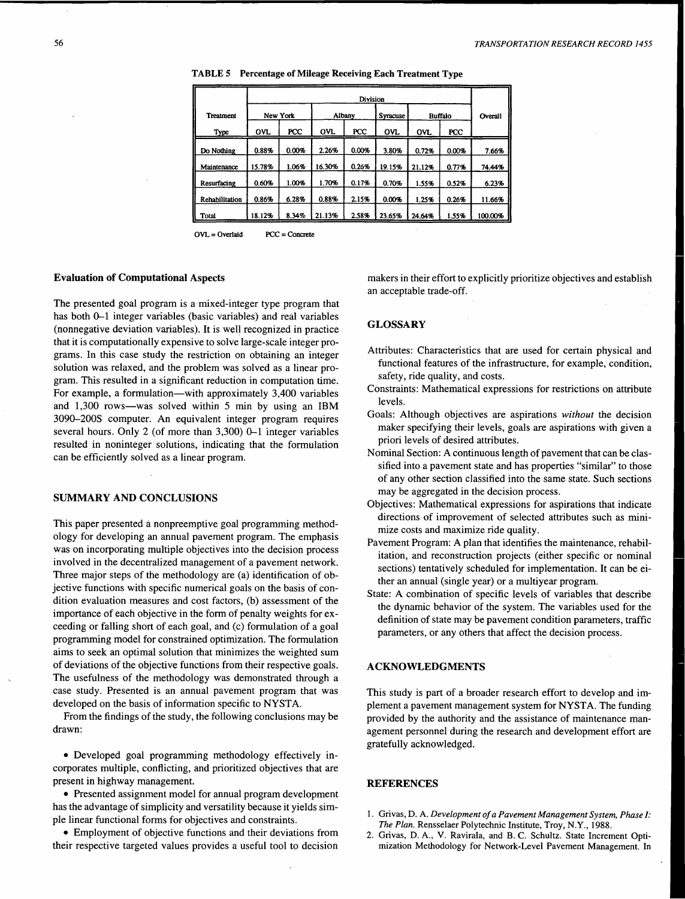|                  | Division   |       |            |       |                 |                |            |         |
|------------------|------------|-------|------------|-------|-----------------|----------------|------------|---------|
| <b>Treatment</b> | New York   |       | Albany     |       | <b>Syracuse</b> | <b>Buffalo</b> |            | Overall |
| Type             | <b>OVL</b> | PCC   | <b>OVL</b> | PCC   | <b>OVL</b>      | <b>OVL</b>     | <b>PCC</b> |         |
| Do Nothing       | 0.88%      | 0.00% | 2.26%      | 0.00% | 3.80%           | 0.72%          | 0.00%      | 7.66%   |
| Maintenance      | 15.78%     | 1.06% | 16.30%     | 0.26% | 19.15%          | 21.12%         | 0.77%      | 74.44%  |
| Resurfacing      | 0.60%      | 1.00% | 1.70%      | 0.17% | 0.70%           | 1.55%          | 0.52%      | 6.23%   |
| Rehabilitation   | 0.86%      | 6.28% | 0.88%      | 2.15% | 0.00%           | 1.25%          | 0.26%      | 11.66%  |
| Total            | 18.12%     | 8.34% | 21.13%     | 2.58% | 23.65%          | 24.64%         | 1.55%      | 100.00% |

TABLE 5 Percentage of Mileage Receiving Each Treatment Type

 $OVL = Overlaid$   $PCC = Concrete$ 

#### Evaluation of Computational Aspects

The presented goal program is a mixed-integer type program that has both 0-1 integer variables (basic variables) and real variables (nonnegative deviation variables). It is well recognized in practice that it is computationally expensive to solve large-scale integer programs. In this case study the restriction on obtaining an integer solution was relaxed, and the problem was solved as a linear program. This resulted in a significant reduction in computation time. For example, a formulation—with approximately 3,400 variables and 1,300 rows-was solved within 5 min by using an IBM 3090-200S computer. An equivalent integer program requires several hours. Only 2 (of more than 3,300) 0-1 integer variables resulted in noninteger solutions, indicating that the formulation can be efficiently solved as a linear program.

# SUMMARY AND CONCLUSIONS

This paper presented a nonpreemptive goal programming methodology for developing an annual pavement program. The emphasis was on incorporating multiple objectives into the decision process involved in the decentralized management of a pavement network. Three major steps of the methodology are (a) identification of objective functions with specific numerical goals on the basis of condition evaluation measures and cost factors, (b) assessment of the importance of each objective in the form of penalty weights for exceeding or falling short of each goal, and (c) formulation of a goal programming model for constrained optimization. The formulation aims to seek an optimal solution that minimizes the weighted sum of deviations of the objective functions from their respective goals. The usefulness of the methodology was demonstrated through a case study. Presented is an annual pavement program that was developed on the basis of information specific to NYSTA.

From the findings of the study, the following conclusions may be drawn:

• Developed goal programming methodology effectively incorporates multiple, conflicting, and prioritized objectives that are present in highway management.

• Presented assignment model for annual program development has the advantage of simplicity and versatility because it yields simple linear functional forms for objectives and constraints.

• Employment of objective functions and their deviations from their respective targeted values provides a useful tool to decision

makers in their effort to explicitly prioritize objectives and establish an acceptable trade-off.

#### **GLOSSARY**

- Attributes: Characteristics that are used for certain physical and functional features of the infrastructure, for example, condition, safety, ride quality, and costs.
- Constraints: Mathematical expressions for restrictions on attribute levels.
- Goals: Although objectives are aspirations *without* the decision maker specifying their levels, goals are aspirations with given a priori levels of desired attributes.
- Nominal Section: A continuous length of pavement that can be classified into a pavement state and has properties "similar" to those of any other section classified into the same state. Such sections may be aggregated in the decision process.
- Objectives: Mathematical expressions for aspirations that indicate directions of improvement of selected attributes such as minimize costs and maximize ride quality.
- Pavement Program: A plan that identifies the maintenance, rehabilitation, and reconstruction projects (either specific or nominal sections) tentatively scheduled for implementation. It can be either an annual (single year) or a multiyear program.
- State: A combination of specific levels of variables that describe the dynamic behavior of the system. The variables used for the definition of state may be pavement condition parameters, traffic parameters, or any others that affect the decision process.

# ACKNOWLEDGMENTS

This study is part of a broader research effort to develop and implement a pavement management system for NYSTA. The funding provided by the authority and the assistance of maintenance management personnel during the research and development effort are gratefully acknowledged.

# **REFERENCES**

- 1. Grivas, D. A. *Development of a Pavement Management System, Phase/: The Plan.* Rensselaer Polytechnic Institute, Troy, N.Y., 1988.
- 2. Grivas, D. A., V. Ravirala, and B. C. Schultz. State Increment Optimization Methodology for Network-Level Pavement Management. In